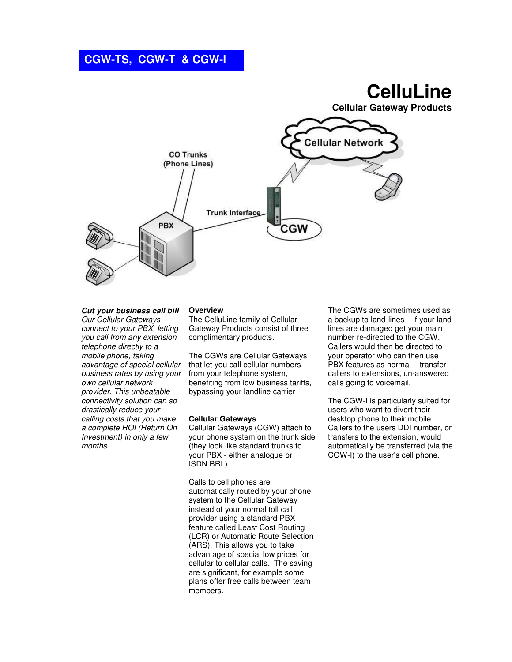# **CGW-TS, CGW-T & CGW-I**

# **CelluLine**

**Cellular Gateway Products** 



## **Cut your business call bill**

Our Cellular Gateways connect to your PBX, letting you call from any extension telephone directly to a mobile phone, taking advantage of special cellular business rates by using your own cellular network provider. This unbeatable connectivity solution can so drastically reduce your calling costs that you make a complete ROI (Return On Investment) in only a few months.

### **Overview**

The CelluLine family of Cellular Gateway Products consist of three complimentary products.

The CGWs are Cellular Gateways that let you call cellular numbers from your telephone system, benefiting from low business tariffs, bypassing your landline carrier

### **Cellular Gateways**

Cellular Gateways (CGW) attach to your phone system on the trunk side (they look like standard trunks to your PBX - either analogue or ISDN BRI )

Calls to cell phones are automatically routed by your phone system to the Cellular Gateway instead of your normal toll call provider using a standard PBX feature called Least Cost Routing (LCR) or Automatic Route Selection (ARS). This allows you to take advantage of special low prices for cellular to cellular calls. The saving are significant, for example some plans offer free calls between team members.

The CGWs are sometimes used as a backup to land-lines – if your land lines are damaged get your main number re-directed to the CGW. Callers would then be directed to your operator who can then use PBX features as normal – transfer callers to extensions, un-answered calls going to voicemail.

The CGW-I is particularly suited for users who want to divert their desktop phone to their mobile. Callers to the users DDI number, or transfers to the extension, would automatically be transferred (via the CGW-I) to the user's cell phone.